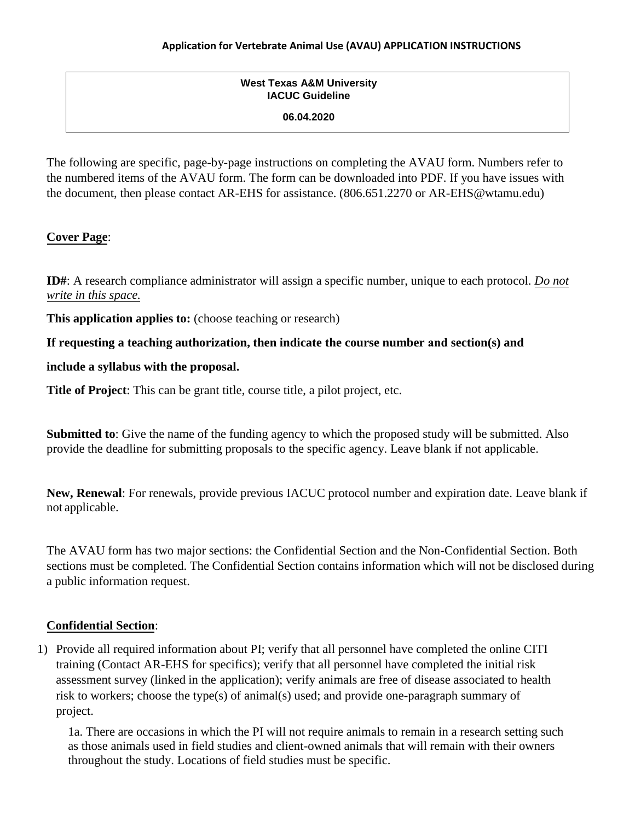## **West Texas A&M University IACUC Guideline**

#### **06.04.2020**

The following are specific, page-by-page instructions on completing the AVAU form. Numbers refer to the numbered items of the AVAU form. The form can be downloaded into PDF. If you have issues with the document, then please contact AR-EHS for assistance. (806.651.2270 or AR-EHS@wtamu.edu)

### **Cover Page**:

**ID#**: A research compliance administrator will assign a specific number, unique to each protocol. *Do not write in this space.*

**This application applies to:** (choose teaching or research)

### **If requesting a teaching authorization, then indicate the course number and section(s) and**

#### **include a syllabus with the proposal.**

**Title of Project**: This can be grant title, course title, a pilot project, etc.

**Submitted to**: Give the name of the funding agency to which the proposed study will be submitted. Also provide the deadline for submitting proposals to the specific agency. Leave blank if not applicable.

**New, Renewal**: For renewals, provide previous IACUC protocol number and expiration date. Leave blank if not applicable.

The AVAU form has two major sections: the Confidential Section and the Non-Confidential Section. Both sections must be completed. The Confidential Section contains information which will not be disclosed during a public information request.

### **Confidential Section**:

1) Provide all required information about PI; verify that all personnel have completed the online CITI training (Contact AR-EHS for specifics); verify that all personnel have completed the initial risk assessment survey (linked in the application); verify animals are free of disease associated to health risk to workers; choose the type(s) of animal(s) used; and provide one-paragraph summary of project.

1a. There are occasions in which the PI will not require animals to remain in a research setting such as those animals used in field studies and client-owned animals that will remain with their owners throughout the study. Locations of field studies must be specific.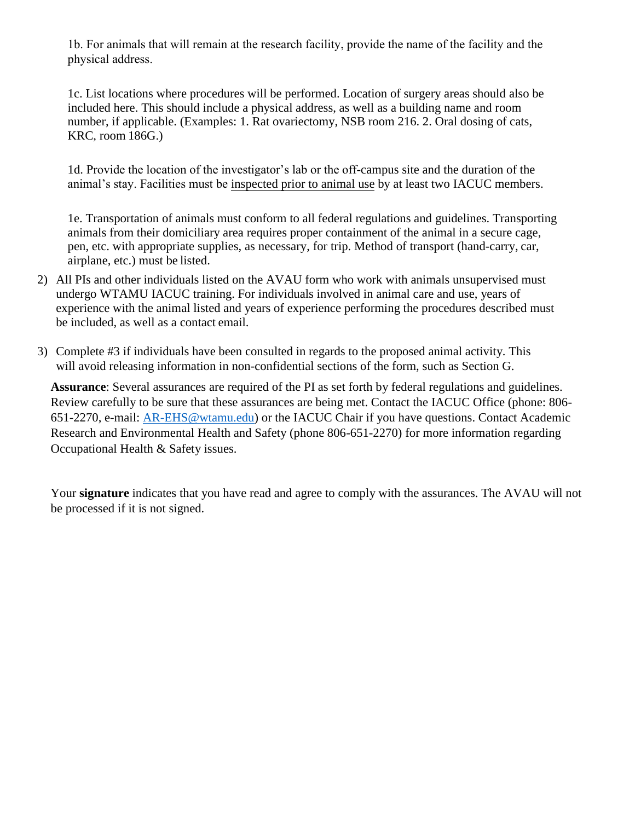1b. For animals that will remain at the research facility, provide the name of the facility and the physical address.

1c. List locations where procedures will be performed. Location of surgery areas should also be included here. This should include a physical address, as well as a building name and room number, if applicable. (Examples: 1. Rat ovariectomy, NSB room 216. 2. Oral dosing of cats, KRC, room 186G.)

1d. Provide the location of the investigator's lab or the off-campus site and the duration of the animal's stay. Facilities must be inspected prior to animal use by at least two IACUC members.

1e. Transportation of animals must conform to all federal regulations and guidelines. Transporting animals from their domiciliary area requires proper containment of the animal in a secure cage, pen, etc. with appropriate supplies, as necessary, for trip. Method of transport (hand-carry, car, airplane, etc.) must be listed.

- 2) All PIs and other individuals listed on the AVAU form who work with animals unsupervised must undergo WTAMU IACUC training. For individuals involved in animal care and use, years of experience with the animal listed and years of experience performing the procedures described must be included, as well as a contact email.
- 3) Complete #3 if individuals have been consulted in regards to the proposed animal activity. This will avoid releasing information in non-confidential sections of the form, such as Section G.

**Assurance**: Several assurances are required of the PI as set forth by federal regulations and guidelines. Review carefully to be sure that these assurances are being met. Contact the IACUC Office (phone: 806- 651-2270, e-mail: [AR-EHS@wtamu.edu\)](mailto:AR-EHS@wtamu.edu) or the IACUC Chair if you have questions. Contact Academic Research and Environmental Health and Safety (phone 806-651-2270) for more information regarding Occupational Health & Safety issues.

Your **signature** indicates that you have read and agree to comply with the assurances. The AVAU will not be processed if it is not signed.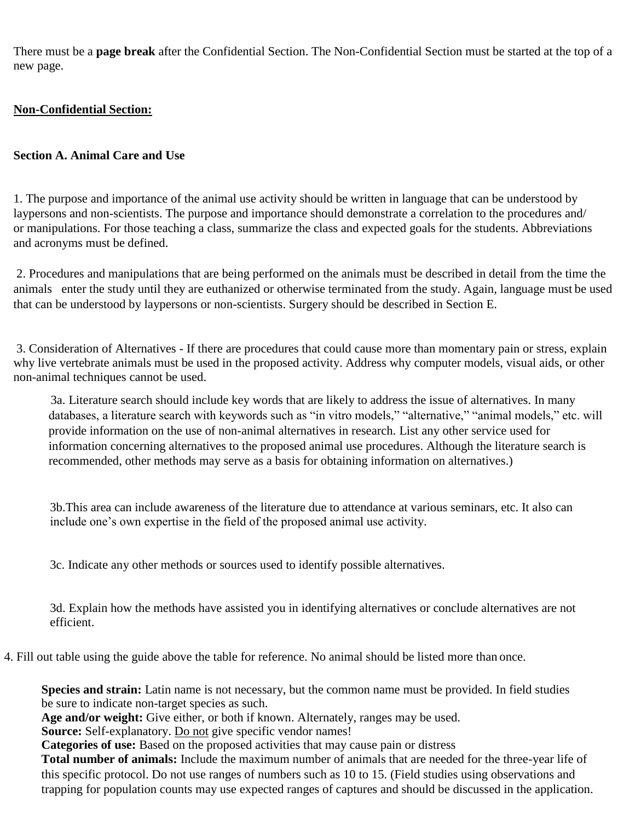There must be a **page break** after the Confidential Section. The Non-Confidential Section must be started at the top of a new page.

## **Non-Confidential Section:**

## **Section A. Animal Care and Use**

1. The purpose and importance of the animal use activity should be written in language that can be understood by laypersons and non-scientists. The purpose and importance should demonstrate a correlation to the procedures and/ or manipulations. For those teaching a class, summarize the class and expected goals for the students. Abbreviations and acronyms must be defined.

2. Procedures and manipulations that are being performed on the animals must be described in detail from the time the animals enter the study until they are euthanized or otherwise terminated from the study. Again, language must be used that can be understood by laypersons or non-scientists. Surgery should be described in Section E.

3. Consideration of Alternatives - If there are procedures that could cause more than momentary pain or stress, explain why live vertebrate animals must be used in the proposed activity. Address why computer models, visual aids, or other non-animal techniques cannot be used.

3a. Literature search should include key words that are likely to address the issue of alternatives. In many databases, a literature search with keywords such as "in vitro models," "alternative," "animal models," etc. will provide information on the use of non-animal alternatives in research. List any other service used for information concerning alternatives to the proposed animal use procedures. Although the literature search is recommended, other methods may serve as a basis for obtaining information on alternatives.)

3b.This area can include awareness of the literature due to attendance at various seminars, etc. It also can include one's own expertise in the field of the proposed animal use activity.

3c. Indicate any other methods or sources used to identify possible alternatives.

3d. Explain how the methods have assisted you in identifying alternatives or conclude alternatives are not efficient.

4. Fill out table using the guide above the table for reference. No animal should be listed more than once.

**Species and strain:** Latin name is not necessary, but the common name must be provided. In field studies be sure to indicate non-target species as such.

**Age and/or weight:** Give either, or both if known. Alternately, ranges may be used.

Source: Self-explanatory. Do not give specific vendor names!

**Categories of use:** Based on the proposed activities that may cause pain or distress

**Total number of animals:** Include the maximum number of animals that are needed for the three-year life of this specific protocol. Do not use ranges of numbers such as 10 to 15. (Field studies using observations and trapping for population counts may use expected ranges of captures and should be discussed in the application.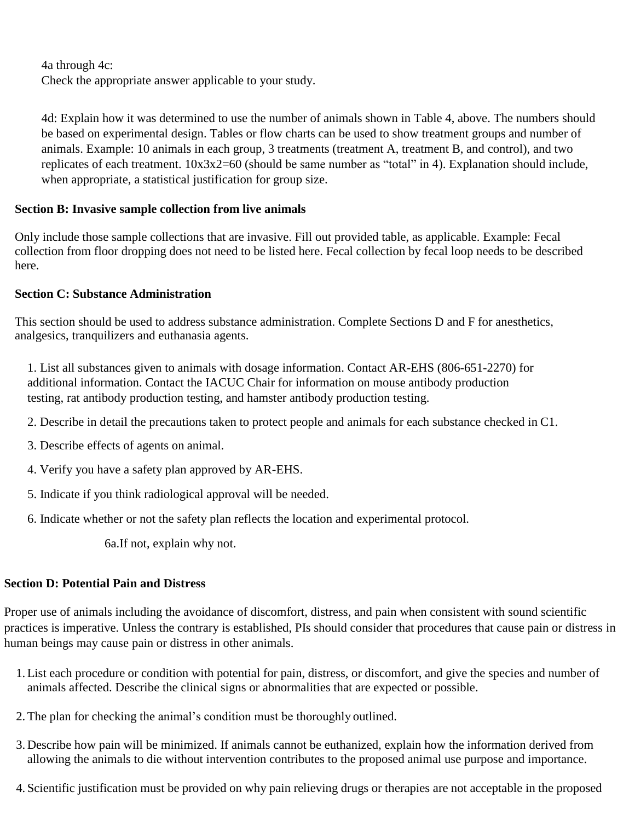4a through 4c: Check the appropriate answer applicable to your study.

4d: Explain how it was determined to use the number of animals shown in Table 4, above. The numbers should be based on experimental design. Tables or flow charts can be used to show treatment groups and number of animals. Example: 10 animals in each group, 3 treatments (treatment A, treatment B, and control), and two replicates of each treatment. 10x3x2=60 (should be same number as "total" in 4). Explanation should include, when appropriate, a statistical justification for group size.

## **Section B: Invasive sample collection from live animals**

Only include those sample collections that are invasive. Fill out provided table, as applicable. Example: Fecal collection from floor dropping does not need to be listed here. Fecal collection by fecal loop needs to be described here.

## **Section C: Substance Administration**

This section should be used to address substance administration. Complete Sections D and F for anesthetics, analgesics, tranquilizers and euthanasia agents.

1. List all substances given to animals with dosage information. Contact AR-EHS (806-651-2270) for additional information. Contact the IACUC Chair for information on mouse antibody production testing, rat antibody production testing, and hamster antibody production testing.

- 2. Describe in detail the precautions taken to protect people and animals for each substance checked in C1.
- 3. Describe effects of agents on animal.
- 4. Verify you have a safety plan approved by AR-EHS.
- 5. Indicate if you think radiological approval will be needed.
- 6. Indicate whether or not the safety plan reflects the location and experimental protocol.

6a.If not, explain why not.

# **Section D: Potential Pain and Distress**

Proper use of animals including the avoidance of discomfort, distress, and pain when consistent with sound scientific practices is imperative. Unless the contrary is established, PIs should consider that procedures that cause pain or distress in human beings may cause pain or distress in other animals.

- 1.List each procedure or condition with potential for pain, distress, or discomfort, and give the species and number of animals affected. Describe the clinical signs or abnormalities that are expected or possible.
- 2.The plan for checking the animal's condition must be thoroughly outlined.
- 3. Describe how pain will be minimized. If animals cannot be euthanized, explain how the information derived from allowing the animals to die without intervention contributes to the proposed animal use purpose and importance.
- 4. Scientific justification must be provided on why pain relieving drugs or therapies are not acceptable in the proposed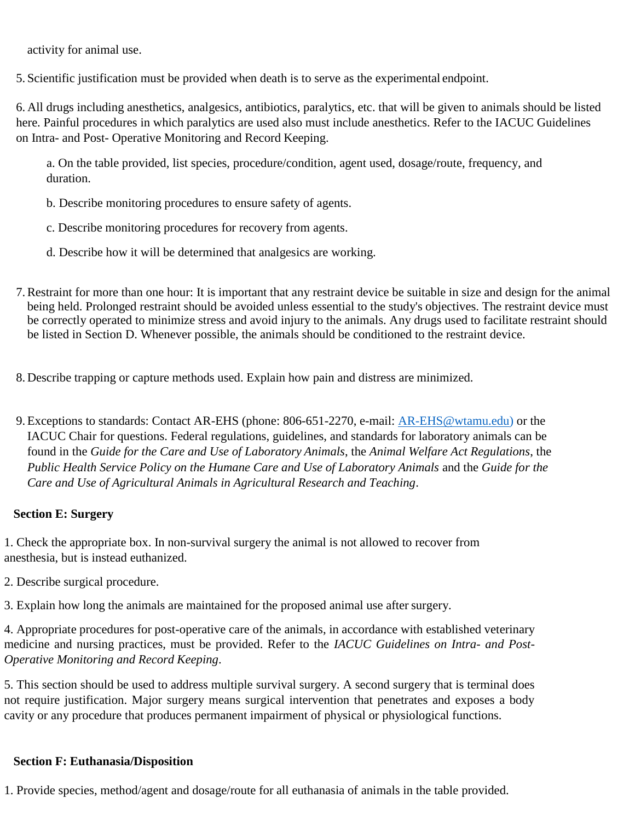activity for animal use.

5. Scientific justification must be provided when death is to serve as the experimental endpoint.

6. All drugs including anesthetics, analgesics, antibiotics, paralytics, etc. that will be given to animals should be listed here. Painful procedures in which paralytics are used also must include anesthetics. Refer to the IACUC Guidelines on Intra- and Post- Operative Monitoring and Record Keeping.

a. On the table provided, list species, procedure/condition, agent used, dosage/route, frequency, and duration.

b. Describe monitoring procedures to ensure safety of agents.

c. Describe monitoring procedures for recovery from agents.

d. Describe how it will be determined that analgesics are working.

- 7.Restraint for more than one hour: It is important that any restraint device be suitable in size and design for the animal being held. Prolonged restraint should be avoided unless essential to the study's objectives. The restraint device must be correctly operated to minimize stress and avoid injury to the animals. Any drugs used to facilitate restraint should be listed in Section D. Whenever possible, the animals should be conditioned to the restraint device.
- 8. Describe trapping or capture methods used. Explain how pain and distress are minimized.
- 9. Exceptions to standards: Contact AR-EHS (phone: 806-651-2270, e-mail: [AR-EHS@wtamu.edu\)](mailto:AR-EHS@wtamu.edu) or the [IACUC Chair f](mailto:AR-EHS@wtamu.edu)or questions. Federal regulations, guidelines, and standards for laboratory animals can be found in the *Guide for the Care and Use of Laboratory Animals*, the *Animal Welfare Act Regulations*, the *Public Health Service Policy on the Humane Care and Use of Laboratory Animals* and the *Guide for the Care and Use of Agricultural Animals in Agricultural Research and Teaching*.

### **Section E: Surgery**

1. Check the appropriate box. In non-survival surgery the animal is not allowed to recover from anesthesia, but is instead euthanized.

2. Describe surgical procedure.

3. Explain how long the animals are maintained for the proposed animal use after surgery.

4. Appropriate procedures for post-operative care of the animals, in accordance with established veterinary medicine and nursing practices, must be provided. Refer to the *IACUC Guidelines on Intra- and Post-Operative Monitoring and Record Keeping*.

5. This section should be used to address multiple survival surgery. A second surgery that is terminal does not require justification. Major surgery means surgical intervention that penetrates and exposes a body cavity or any procedure that produces permanent impairment of physical or physiological functions.

### **Section F: Euthanasia/Disposition**

1. Provide species, method/agent and dosage/route for all euthanasia of animals in the table provided.